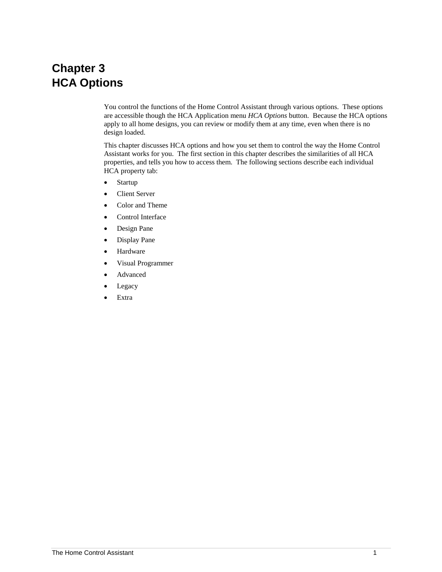# **Chapter 3 HCA Options**

You control the functions of the Home Control Assistant through various options. These options are accessible though the HCA Application menu *HCA Options* button. Because the HCA options apply to all home designs, you can review or modify them at any time, even when there is no design loaded.

This chapter discusses HCA options and how you set them to control the way the Home Control Assistant works for you. The first section in this chapter describes the similarities of all HCA properties, and tells you how to access them. The following sections describe each individual HCA property tab:

- Startup
- Client Server
- Color and Theme
- Control Interface
- Design Pane
- Display Pane
- Hardware
- Visual Programmer
- Advanced
- Legacy
- Extra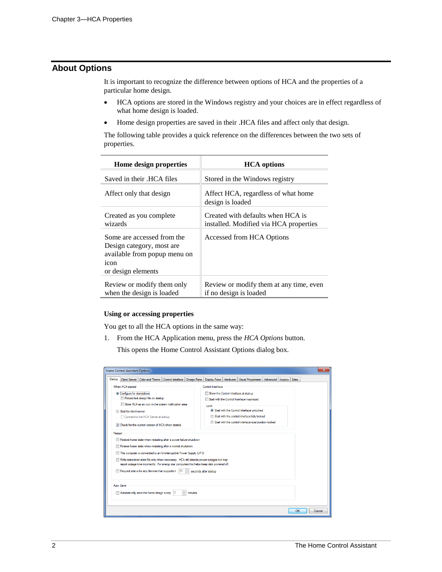# **About Options**

It is important to recognize the difference between options of HCA and the properties of a particular home design.

- HCA options are stored in the Windows registry and your choices are in effect regardless of what home design is loaded.
- Home design properties are saved in their .HCA files and affect only that design.

The following table provides a quick reference on the differences between the two sets of properties.

| Home design properties                                                                                                | <b>HCA</b> options                                                          |
|-----------------------------------------------------------------------------------------------------------------------|-----------------------------------------------------------------------------|
| Saved in their .HCA files                                                                                             | Stored in the Windows registry                                              |
| Affect only that design                                                                                               | Affect HCA, regardless of what home<br>design is loaded                     |
| Created as you complete<br>wizards                                                                                    | Created with defaults when HCA is<br>installed. Modified via HCA properties |
| Some are accessed from the<br>Design category, most are<br>available from popup menu on<br>icon<br>or design elements | Accessed from HCA Options                                                   |
| Review or modify them only<br>when the design is loaded                                                               | Review or modify them at any time, even<br>if no design is loaded           |

#### **Using or accessing properties**

You get to all the HCA options in the same way:

1. From the HCA Application menu, press the *HCA Options* button.

This opens the Home Control Assistant Options dialog box.

| ×<br><b>Home Control Assistant Options</b>                                                  |                                                                              |  |  |  |  |  |  |  |
|---------------------------------------------------------------------------------------------|------------------------------------------------------------------------------|--|--|--|--|--|--|--|
| Startup<br>Color and Theme   Control Interface<br>Client Server<br>Design Pane              | Disolay Pane   Hardware   Visual Programmer  <br>Advanced<br>Extra<br>Legacy |  |  |  |  |  |  |  |
| When HCA started<br>Control Interface                                                       |                                                                              |  |  |  |  |  |  |  |
| © Configure for standalone                                                                  | Show the Control Interface at startup                                        |  |  |  |  |  |  |  |
| Reload last design file on startup                                                          | Start with the Control Interface maximized                                   |  |  |  |  |  |  |  |
| Store HCA as an icon in the system notification area                                        | Lock                                                                         |  |  |  |  |  |  |  |
| Start for client-server                                                                     | Start with the Control Interface unlocked                                    |  |  |  |  |  |  |  |
| Connect to the HCA Server at startup                                                        | Start with the control interface fully locked                                |  |  |  |  |  |  |  |
| Check for the current version of HCA when started                                           | Start with the control interface size/position locked                        |  |  |  |  |  |  |  |
| Restart                                                                                     |                                                                              |  |  |  |  |  |  |  |
| Restore home state when restarting after a power failure shutdown                           |                                                                              |  |  |  |  |  |  |  |
| Restore home state when restarting after a normal shutdown                                  |                                                                              |  |  |  |  |  |  |  |
| This computer is connected to an Uninterruptible Power Supply (UPS)                         |                                                                              |  |  |  |  |  |  |  |
| Write restoration state file only when necessary. HCA still detects power outages but may   |                                                                              |  |  |  |  |  |  |  |
| report outage time incorrectly. For energy star computers this helps keep disk powered off. |                                                                              |  |  |  |  |  |  |  |
| Request status for any devices that supports it<br>60<br>seconds after startup              |                                                                              |  |  |  |  |  |  |  |
|                                                                                             |                                                                              |  |  |  |  |  |  |  |
| Auto Save                                                                                   |                                                                              |  |  |  |  |  |  |  |
| Automatically save the home design every<br>minutes                                         |                                                                              |  |  |  |  |  |  |  |
|                                                                                             |                                                                              |  |  |  |  |  |  |  |
|                                                                                             |                                                                              |  |  |  |  |  |  |  |
| OK<br>Cancel                                                                                |                                                                              |  |  |  |  |  |  |  |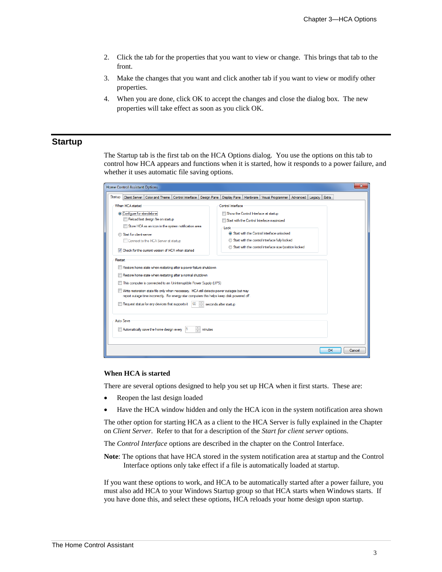- 2. Click the tab for the properties that you want to view or change. This brings that tab to the front.
- 3. Make the changes that you want and click another tab if you want to view or modify other properties.
- 4. When you are done, click OK to accept the changes and close the dialog box. The new properties will take effect as soon as you click OK.

### **Startup**

The Startup tab is the first tab on the HCA Options dialog. You use the options on this tab to control how HCA appears and functions when it is started, how it responds to a power failure, and whether it uses automatic file saving options.

| ×<br><b>Home Control Assistant Options</b>                                                  |                                                                                                        |  |  |  |  |  |  |
|---------------------------------------------------------------------------------------------|--------------------------------------------------------------------------------------------------------|--|--|--|--|--|--|
| Startup<br>Client Server   Color and Theme<br>Control Interface<br><b>Design Pane</b>       | <b>Extra</b><br><b>Display Pane</b><br>Hardware<br>Visual Programmer<br>Advanced<br>Legacy             |  |  |  |  |  |  |
| When HCA started<br>Control Interface                                                       |                                                                                                        |  |  |  |  |  |  |
| Configure for standalone                                                                    | Show the Control Interface at startup                                                                  |  |  |  |  |  |  |
| Reload last design file on startup                                                          | Start with the Control Interface maximized                                                             |  |  |  |  |  |  |
| Store HCA as an icon in the system notification area                                        | Lock                                                                                                   |  |  |  |  |  |  |
| Start for client-server                                                                     | Start with the Control Interface unlocked                                                              |  |  |  |  |  |  |
| Connect to the HCA Server at startup                                                        | Start with the control interface fully locked<br>Start with the control interface size/position locked |  |  |  |  |  |  |
| Check for the current version of HCA when started                                           |                                                                                                        |  |  |  |  |  |  |
| Restart                                                                                     |                                                                                                        |  |  |  |  |  |  |
| Restore home state when restarting after a power failure shutdown                           |                                                                                                        |  |  |  |  |  |  |
| Restore home state when restarting after a normal shutdown                                  |                                                                                                        |  |  |  |  |  |  |
| This computer is connected to an Uninterruptible Power Supply (UPS)                         |                                                                                                        |  |  |  |  |  |  |
| Write restoration state file only when necessary. HCA still detects power outages but may   |                                                                                                        |  |  |  |  |  |  |
| report outage time incorrectly. For energy star computers this helps keep disk powered off. |                                                                                                        |  |  |  |  |  |  |
| Request status for any devices that supports it<br>60<br>seconds after startup              |                                                                                                        |  |  |  |  |  |  |
|                                                                                             |                                                                                                        |  |  |  |  |  |  |
| Auto Save                                                                                   |                                                                                                        |  |  |  |  |  |  |
| Automatically save the home design every<br>minutes                                         |                                                                                                        |  |  |  |  |  |  |
|                                                                                             |                                                                                                        |  |  |  |  |  |  |
|                                                                                             | OK                                                                                                     |  |  |  |  |  |  |
| Cancel                                                                                      |                                                                                                        |  |  |  |  |  |  |

#### **When HCA is started**

There are several options designed to help you set up HCA when it first starts. These are:

- Reopen the last design loaded
- Have the HCA window hidden and only the HCA icon in the system notification area shown

The other option for starting HCA as a client to the HCA Server is fully explained in the Chapter on *Client Server*. Refer to that for a description of the *Start for client server* options.

The *Control Interface* options are described in the chapter on the Control Interface.

**Note**: The options that have HCA stored in the system notification area at startup and the Control Interface options only take effect if a file is automatically loaded at startup.

If you want these options to work, and HCA to be automatically started after a power failure, you must also add HCA to your Windows Startup group so that HCA starts when Windows starts. If you have done this, and select these options, HCA reloads your home design upon startup.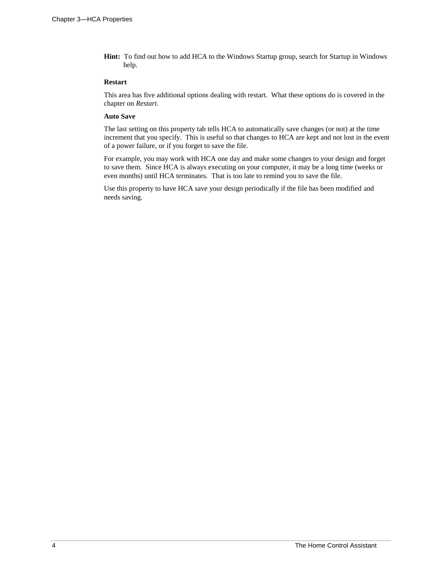**Hint:** To find out how to add HCA to the Windows Startup group, search for Startup in Windows help.

#### **Restart**

This area has five additional options dealing with restart. What these options do is covered in the chapter on *Restart*.

#### **Auto Save**

The last setting on this property tab tells HCA to automatically save changes (or not) at the time increment that you specify. This is useful so that changes to HCA are kept and not lost in the event of a power failure, or if you forget to save the file.

For example, you may work with HCA one day and make some changes to your design and forget to save them. Since HCA is always executing on your computer, it may be a long time (weeks or even months) until HCA terminates. That is too late to remind you to save the file.

Use this property to have HCA save your design periodically if the file has been modified and needs saving.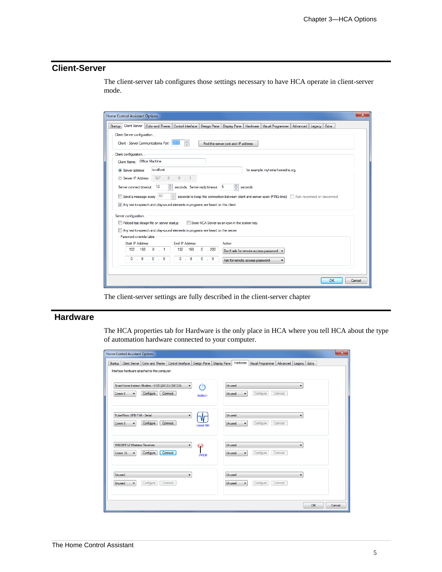# **Client-Server**

The client-server tab configures those settings necessary to have HCA operate in client-server mode.

| $\mathbf{x}$<br><b>Home Control Assistant Options</b>                                                                                                           |  |  |  |  |  |  |  |  |
|-----------------------------------------------------------------------------------------------------------------------------------------------------------------|--|--|--|--|--|--|--|--|
| <b>Client Server</b><br>Color and Theme   Control Interface   Design Pane   Display Pane   Hardware   Visual Programmer   Advanced   Legacy<br>Startup<br>Extra |  |  |  |  |  |  |  |  |
| Client-Server configuration                                                                                                                                     |  |  |  |  |  |  |  |  |
| ÷<br>Client - Server Communications Port:<br>2000<br>Find the server port and IP address                                                                        |  |  |  |  |  |  |  |  |
| Client configuration                                                                                                                                            |  |  |  |  |  |  |  |  |
| Client Name: Office Machine                                                                                                                                     |  |  |  |  |  |  |  |  |
| localhost<br>for example: myhome.homedns.org<br>Server address                                                                                                  |  |  |  |  |  |  |  |  |
| 127.0.0.1<br>Server IP Address                                                                                                                                  |  |  |  |  |  |  |  |  |
| 수<br>즉<br>10<br>Server connect timeout:<br>seconds. Server reply timeout: 5<br>seconds                                                                          |  |  |  |  |  |  |  |  |
| $\frac{1}{2}$<br>Send a message every 60<br>seconds to keep the connection between client and server open (PING time). Auto reconnect on disconnect             |  |  |  |  |  |  |  |  |
| 7 Any text to speech and play-sound elements in programs are heard on this client                                                                               |  |  |  |  |  |  |  |  |
|                                                                                                                                                                 |  |  |  |  |  |  |  |  |
| Server configuration                                                                                                                                            |  |  |  |  |  |  |  |  |
| Reload last design file on server startup<br>Store HCA Server as an icon in the system tray                                                                     |  |  |  |  |  |  |  |  |
| Any text to speech and play-sound elements in programs are heard on the server<br>Password override table                                                       |  |  |  |  |  |  |  |  |
| <b>Start IP Address</b><br>End IP Address<br>Action                                                                                                             |  |  |  |  |  |  |  |  |
| 192.168.0.1<br>192 . 168 . 0 . 200<br>Don't ask for remote access password                                                                                      |  |  |  |  |  |  |  |  |
| $0 \t0 \t0 \t0 \t0$<br>$0 \t 0 \t 0 \t 0 \t 0$<br>Ask for remote access password<br>▼                                                                           |  |  |  |  |  |  |  |  |
|                                                                                                                                                                 |  |  |  |  |  |  |  |  |
|                                                                                                                                                                 |  |  |  |  |  |  |  |  |
| OK<br>Cancel                                                                                                                                                    |  |  |  |  |  |  |  |  |

The client-server settings are fully described in the client-server chapter

## **Hardware**

The HCA properties tab for Hardware is the only place in HCA where you tell HCA about the type of automation hardware connected to your computer.

| <b>Home Control Assistant Options</b>                                                                                                                          | $\mathbf{x}$                                                                                 |
|----------------------------------------------------------------------------------------------------------------------------------------------------------------|----------------------------------------------------------------------------------------------|
| Client Server   Color and Theme   Control Interface<br>Design Pane<br>Startup<br>Interface hardware attached to this computer:                                 | Hardware<br><b>Display Pane</b><br>Visual Programmer<br>Extra<br>Advanced Legacy             |
| SmartHome Insteon Modem - USB (2412U/2413U)<br>r١١<br>$\blacktriangledown$<br>Configure<br>Connect<br>Comm <sub>5</sub><br>$\overline{\phantom{a}}$<br>Insteon | Unused<br>$\blacktriangledown$<br>Configure<br>Connect<br>Unused<br>$\overline{\phantom{a}}$ |
| PulseWorx UPB PIM - Serial<br>۰<br>Configure<br>Connect<br>Comm 9<br><b>Serial PIM</b>                                                                         | Unused<br>۰<br>Configure<br>Connect<br>Unused                                                |
| W800RF32 Wireless Receiver<br>《》<br>$\blacktriangledown$<br>Configure<br>Connect<br>Comm 16<br><b>W800</b>                                                     | <b>Unused</b><br>$\overline{\phantom{a}}$<br>Configure<br>Connect<br>Unused                  |
| Unused<br>Configure<br>Connect<br>Unused                                                                                                                       | Unused<br>Configure<br>Connect<br>Unused                                                     |
|                                                                                                                                                                | OK<br>Cancel                                                                                 |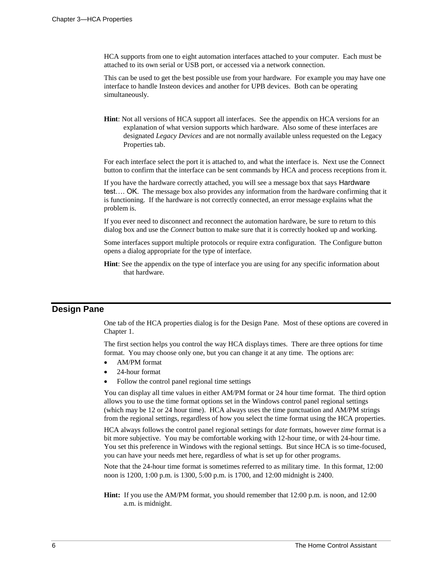HCA supports from one to eight automation interfaces attached to your computer. Each must be attached to its own serial or USB port, or accessed via a network connection.

This can be used to get the best possible use from your hardware. For example you may have one interface to handle Insteon devices and another for UPB devices. Both can be operating simultaneously.

**Hint**: Not all versions of HCA support all interfaces. See the appendix on HCA versions for an explanation of what version supports which hardware. Also some of these interfaces are designated *Legacy Devices* and are not normally available unless requested on the Legacy Properties tab.

For each interface select the port it is attached to, and what the interface is. Next use the Connect button to confirm that the interface can be sent commands by HCA and process receptions from it.

If you have the hardware correctly attached, you will see a message box that says Hardware test…. OK. The message box also provides any information from the hardware confirming that it is functioning. If the hardware is not correctly connected, an error message explains what the problem is.

If you ever need to disconnect and reconnect the automation hardware, be sure to return to this dialog box and use the *Connect* button to make sure that it is correctly hooked up and working.

Some interfaces support multiple protocols or require extra configuration. The Configure button opens a dialog appropriate for the type of interface.

**Hint**: See the appendix on the type of interface you are using for any specific information about that hardware.

## **Design Pane**

One tab of the HCA properties dialog is for the Design Pane. Most of these options are covered in Chapter 1.

The first section helps you control the way HCA displays times. There are three options for time format. You may choose only one, but you can change it at any time. The options are:

- AM/PM format
- 24-hour format
- Follow the control panel regional time settings

You can display all time values in either AM/PM format or 24 hour time format. The third option allows you to use the time format options set in the Windows control panel regional settings (which may be 12 or 24 hour time). HCA always uses the time punctuation and AM/PM strings from the regional settings, regardless of how you select the time format using the HCA properties.

HCA always follows the control panel regional settings for *date* formats, however *time* format is a bit more subjective. You may be comfortable working with 12-hour time, or with 24-hour time. You set this preference in Windows with the regional settings. But since HCA is so time-focused, you can have your needs met here, regardless of what is set up for other programs.

Note that the 24-hour time format is sometimes referred to as military time. In this format, 12:00 noon is 1200, 1:00 p.m. is 1300, 5:00 p.m. is 1700, and 12:00 midnight is 2400.

**Hint:** If you use the AM/PM format, you should remember that 12:00 p.m. is noon, and 12:00 a.m. is midnight.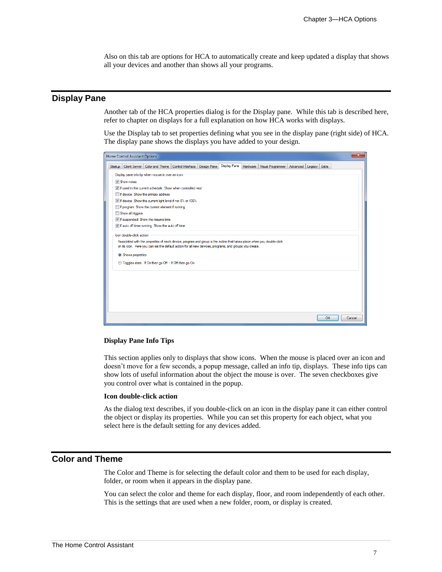Also on this tab are options for HCA to automatically create and keep updated a display that shows all your devices and another than shows all your programs.

## **Display Pane**

Another tab of the HCA properties dialog is for the Display pane. While this tab is described here, refer to chapter on displays for a full explanation on how HCA works with displays.

Use the Display tab to set properties defining what you see in the display pane (right side) of HCA. The display pane shows the displays you have added to your design.

| <b>Home Control Assistant Options</b>                                                                                                                            | $\mathbf{x}$ |  |  |  |  |  |  |  |
|------------------------------------------------------------------------------------------------------------------------------------------------------------------|--------------|--|--|--|--|--|--|--|
| <b>Display Pane</b><br>Client Server   Color and Theme   Control Interface   Design Pane<br>Hardware   Visual Programmer   Advanced  <br>Legacy Extra<br>Startup |              |  |  |  |  |  |  |  |
| Display pane info tip when mouse is over an icon                                                                                                                 |              |  |  |  |  |  |  |  |
| <b>V</b> Show notes                                                                                                                                              |              |  |  |  |  |  |  |  |
| T If used in the current schedule: Show when controlled next                                                                                                     |              |  |  |  |  |  |  |  |
| If device: Show the primary address                                                                                                                              |              |  |  |  |  |  |  |  |
| TV If device: Show the current light level if not 0% or 100%                                                                                                     |              |  |  |  |  |  |  |  |
| If program: Show the current element if running                                                                                                                  |              |  |  |  |  |  |  |  |
| Show all triggers                                                                                                                                                |              |  |  |  |  |  |  |  |
| T If suspended: Show the resume time                                                                                                                             |              |  |  |  |  |  |  |  |
| V If auto off timer running: Show the auto off time                                                                                                              |              |  |  |  |  |  |  |  |
| Icon double-click action                                                                                                                                         |              |  |  |  |  |  |  |  |
| Associated with the properties of each device, program and group is the action that takes place when you double-click                                            |              |  |  |  |  |  |  |  |
| on its icon. Here you can set the default action for all new devices, programs, and groups you create.                                                           |              |  |  |  |  |  |  |  |
| Shows properties                                                                                                                                                 |              |  |  |  |  |  |  |  |
| ◯ Toggles state. If On then go Off - If Off then go On                                                                                                           |              |  |  |  |  |  |  |  |
|                                                                                                                                                                  |              |  |  |  |  |  |  |  |
|                                                                                                                                                                  |              |  |  |  |  |  |  |  |
|                                                                                                                                                                  |              |  |  |  |  |  |  |  |
|                                                                                                                                                                  |              |  |  |  |  |  |  |  |
|                                                                                                                                                                  |              |  |  |  |  |  |  |  |
|                                                                                                                                                                  |              |  |  |  |  |  |  |  |
|                                                                                                                                                                  |              |  |  |  |  |  |  |  |
| OK<br>Cancel                                                                                                                                                     |              |  |  |  |  |  |  |  |

#### **Display Pane Info Tips**

This section applies only to displays that show icons. When the mouse is placed over an icon and doesn't move for a few seconds, a popup message, called an info tip, displays. These info tips can show lots of useful information about the object the mouse is over. The seven checkboxes give you control over what is contained in the popup.

#### **Icon double-click action**

As the dialog text describes, if you double-click on an icon in the display pane it can either control the object or display its properties. While you can set this property for each object, what you select here is the default setting for any devices added.

## **Color and Theme**

The Color and Theme is for selecting the default color and them to be used for each display, folder, or room when it appears in the display pane.

You can select the color and theme for each display, floor, and room independently of each other. This is the settings that are used when a new folder, room, or display is created.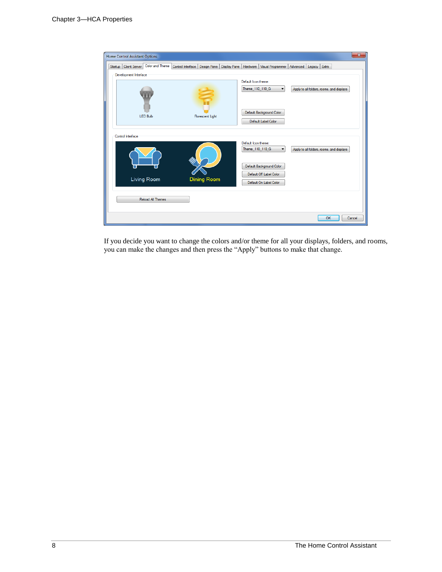

If you decide you want to change the colors and/or theme for all your displays, folders, and rooms, you can make the changes and then press the "Apply" buttons to make that change.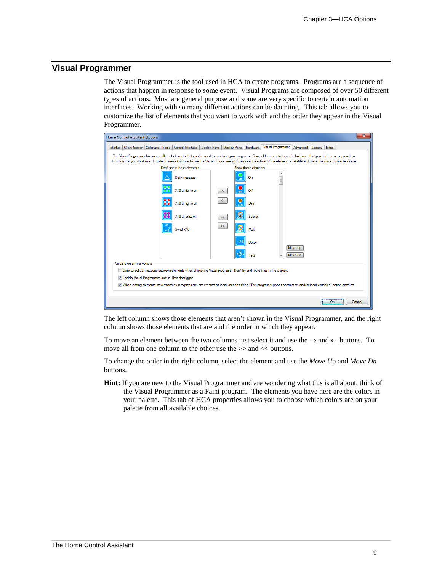## **Visual Programmer**

The Visual Programmer is the tool used in HCA to create programs. Programs are a sequence of actions that happen in response to some event. Visual Programs are composed of over 50 different types of actions. Most are general purpose and some are very specific to certain automation interfaces. Working with so many different actions can be daunting. This tab allows you to customize the list of elements that you want to work with and the order they appear in the Visual Programmer.



The left column shows those elements that aren't shown in the Visual Programmer, and the right column shows those elements that are and the order in which they appear.

To move an element between the two columns just select it and use the  $\rightarrow$  and  $\leftarrow$  buttons. To move all from one column to the other use the  $\gg$  and  $<<$  buttons.

To change the order in the right column, select the element and use the *Move U*p and *Move Dn* buttons.

**Hint:** If you are new to the Visual Programmer and are wondering what this is all about, think of the Visual Programmer as a Paint program. The elements you have here are the colors in your palette. This tab of HCA properties allows you to choose which colors are on your palette from all available choices.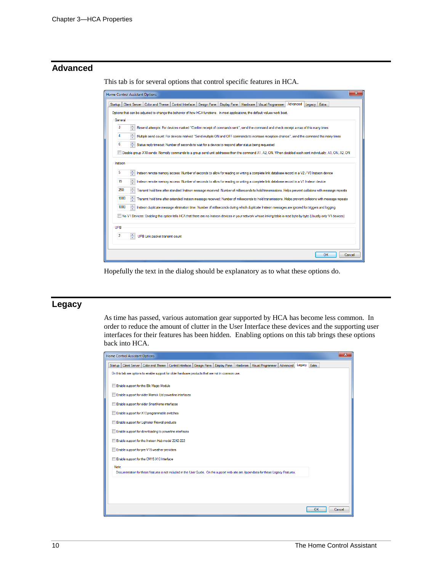# **Advanced**

This tab is for several options that control specific features in HCA.

| ж<br><b>Home Control Assistant Options</b>                                                                                                                           |  |  |  |  |  |  |  |  |
|----------------------------------------------------------------------------------------------------------------------------------------------------------------------|--|--|--|--|--|--|--|--|
| Advanced<br>Control Interface   Design Pane  <br><b>Client Server</b><br>Color and Theme<br>Display Pane<br>Hardware   Visual Programmer<br>Legacy Extra<br>Startup  |  |  |  |  |  |  |  |  |
| Options that can be adjusted to change the behavior of how HCA functions. In most applications, the default values work best.                                        |  |  |  |  |  |  |  |  |
| General                                                                                                                                                              |  |  |  |  |  |  |  |  |
| 3<br>Resend attempts: For devices marked "Confirm receipt of commands sent", send the command and check receipt a max of this many times                             |  |  |  |  |  |  |  |  |
| ÷<br>4<br>Multiple send count: For devices marked "Send multiple ON and OFF commands to increase reception chance", send the command this many times                 |  |  |  |  |  |  |  |  |
| 6<br>Status reply timeout: Number of seconds to wait for a device to respond after status being requested                                                            |  |  |  |  |  |  |  |  |
| Disable group X10 sends: Normally commands to a group send unit addresses then the command A1, A2, ON, When disabled each sent individually, A1, ON, A2, ON          |  |  |  |  |  |  |  |  |
| Insteon                                                                                                                                                              |  |  |  |  |  |  |  |  |
| $\frac{1}{x}$<br>5<br>Insteon remote memory access: Number of seconds to allow for reading or writing a complete link database record in a V2 / V3 Insteon device    |  |  |  |  |  |  |  |  |
| ÷<br>15<br>Insteon remote memory access: Number of seconds to allow for reading or writing a complete link database record in a V1 Insteon device                    |  |  |  |  |  |  |  |  |
| 250<br>Transmit hold time after standard Insteon message received: Number of milliseconds to hold transmissions. Helps prevent collisions with message repeats       |  |  |  |  |  |  |  |  |
| ÷<br>1000<br>Transmit hold time after extended Insteon message received: Number of milliseconds to hold transmissions. Helps prevent collisions with message repeats |  |  |  |  |  |  |  |  |
| 1000<br>Insteon duplicate message elimination time: Number of milliseconds during which duplicate Insteon messages are ignored for triggers and logging              |  |  |  |  |  |  |  |  |
| No V1 Devices: Enabling this option tells HCA that there are no Insteon devices in your network whose linking table is read byte-by-byte (Usually only V1 devices)   |  |  |  |  |  |  |  |  |
| UPB                                                                                                                                                                  |  |  |  |  |  |  |  |  |
| ÷<br>$\overline{2}$<br>UPB Link packet transmit count                                                                                                                |  |  |  |  |  |  |  |  |
|                                                                                                                                                                      |  |  |  |  |  |  |  |  |
| OK<br>Cancel                                                                                                                                                         |  |  |  |  |  |  |  |  |
|                                                                                                                                                                      |  |  |  |  |  |  |  |  |

Hopefully the text in the dialog should be explanatory as to what these options do.

# **Legacy**

As time has passed, various automation gear supported by HCA has become less common. In order to reduce the amount of clutter in the User Interface these devices and the supporting user interfaces for their features has been hidden. Enabling options on this tab brings these options back into HCA.

| <b>Home Control Assistant Options</b>                                                                                                               | $\mathbf{x}$ |  |  |  |  |  |  |  |
|-----------------------------------------------------------------------------------------------------------------------------------------------------|--------------|--|--|--|--|--|--|--|
| Client Server   Color and Theme<br>Control Interface<br>Design Pane   Display Pane   Hardware<br>Visual Programmer<br>Leqacy<br>Advanced<br>Startup | <b>Extra</b> |  |  |  |  |  |  |  |
| On this tab are options to enable support for older hardware products that are not in common use.                                                   |              |  |  |  |  |  |  |  |
| Enable support for the Elk Magic Module                                                                                                             |              |  |  |  |  |  |  |  |
| Enable support for older Marrick Ltd powerline interfaces                                                                                           |              |  |  |  |  |  |  |  |
| Enable support for older SmartHome interfaces<br>Enable support for X10 programmable switches                                                       |              |  |  |  |  |  |  |  |
| Enable support for Lightolier Firewall products                                                                                                     |              |  |  |  |  |  |  |  |
| Enable support for downloading to powerline interfaces                                                                                              |              |  |  |  |  |  |  |  |
| Enable support for the Insteon Hub model 2242-222                                                                                                   |              |  |  |  |  |  |  |  |
| Enable support for pre-V15 weather providers<br>Enable support for the CM15 X10 Interface                                                           |              |  |  |  |  |  |  |  |
| Note                                                                                                                                                |              |  |  |  |  |  |  |  |
| Documentation for these features is not included in the User Guide. On the support web site are Appendixes for these Legacy Features.               |              |  |  |  |  |  |  |  |
|                                                                                                                                                     |              |  |  |  |  |  |  |  |
|                                                                                                                                                     |              |  |  |  |  |  |  |  |
|                                                                                                                                                     | OK<br>Cancel |  |  |  |  |  |  |  |